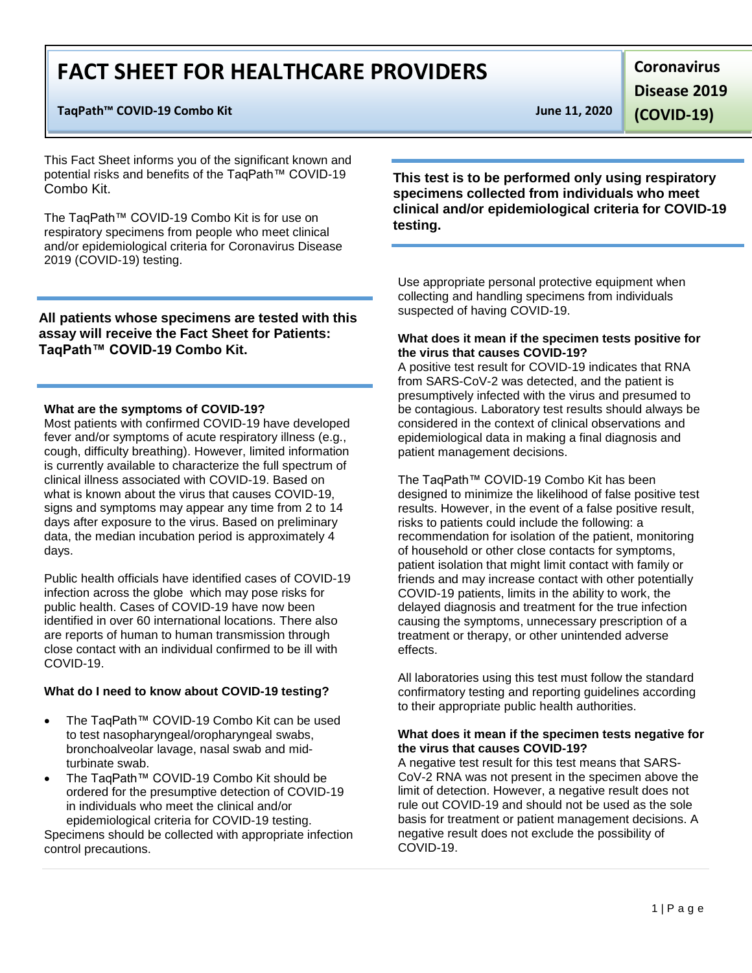# **FACT SHEET FOR HEALTHCARE PROVIDERS**

#### **TaqPath™ COVID-19 Combo Kit June 11, 2020**

This Fact Sheet informs you of the significant known and potential risks and benefits of the TaqPath™ COVID-19 Combo Kit.

The TaqPath™ COVID-19 Combo Kit is for use on respiratory specimens from people who meet clinical and/or epidemiological criteria for Coronavirus Disease 2019 (COVID-19) testing.

**All patients whose specimens are tested with this assay will receive the Fact Sheet for Patients: TaqPath™ COVID-19 Combo Kit.**

#### **What are the symptoms of COVID-19?**

Most patients with confirmed COVID-19 have developed fever and/or symptoms of acute respiratory illness (e.g., cough, difficulty breathing). However, limited information is currently available to characterize the full spectrum of clinical illness associated with COVID-19. Based on what is known about the virus that causes COVID-19, signs and symptoms may appear any time from 2 to 14 days after exposure to the virus. Based on preliminary data, the median incubation period is approximately 4 days.

Public health officials have identified cases of COVID-19 infection across the globe which may pose risks for public health. Cases of COVID-19 have now been identified in over 60 international locations. There also are reports of human to human transmission through close contact with an individual confirmed to be ill with COVID-19.

#### **What do I need to know about COVID-19 testing?**

- The TaqPath™ COVID-19 Combo Kit can be used to test nasopharyngeal/oropharyngeal swabs, bronchoalveolar lavage, nasal swab and midturbinate swab.
- The TaqPath™ COVID-19 Combo Kit should be ordered for the presumptive detection of COVID-19 in individuals who meet the clinical and/or epidemiological criteria for COVID-19 testing.

Specimens should be collected with appropriate infection control precautions.

**Coronavirus Disease 2019** 

**(COVID-19)**

### **This test is to be performed only using respiratory specimens collected from individuals who meet clinical and/or epidemiological criteria for COVID-19 testing.**

Use appropriate personal protective equipment when collecting and handling specimens from individuals suspected of having COVID-19.

#### **What does it mean if the specimen tests positive for the virus that causes COVID-19?**

A positive test result for COVID-19 indicates that RNA from SARS-CoV-2 was detected, and the patient is presumptively infected with the virus and presumed to be contagious. Laboratory test results should always be considered in the context of clinical observations and epidemiological data in making a final diagnosis and patient management decisions.

The TaqPath™ COVID-19 Combo Kit has been designed to minimize the likelihood of false positive test results. However, in the event of a false positive result, risks to patients could include the following: a recommendation for isolation of the patient, monitoring of household or other close contacts for symptoms, patient isolation that might limit contact with family or friends and may increase contact with other potentially COVID-19 patients, limits in the ability to work, the delayed diagnosis and treatment for the true infection causing the symptoms, unnecessary prescription of a treatment or therapy, or other unintended adverse effects.

All laboratories using this test must follow the standard confirmatory testing and reporting guidelines according to their appropriate public health authorities.

#### **What does it mean if the specimen tests negative for the virus that causes COVID-19?**

A negative test result for this test means that SARS-CoV-2 RNA was not present in the specimen above the limit of detection. However, a negative result does not rule out COVID-19 and should not be used as the sole basis for treatment or patient management decisions. A negative result does not exclude the possibility of COVID-19.